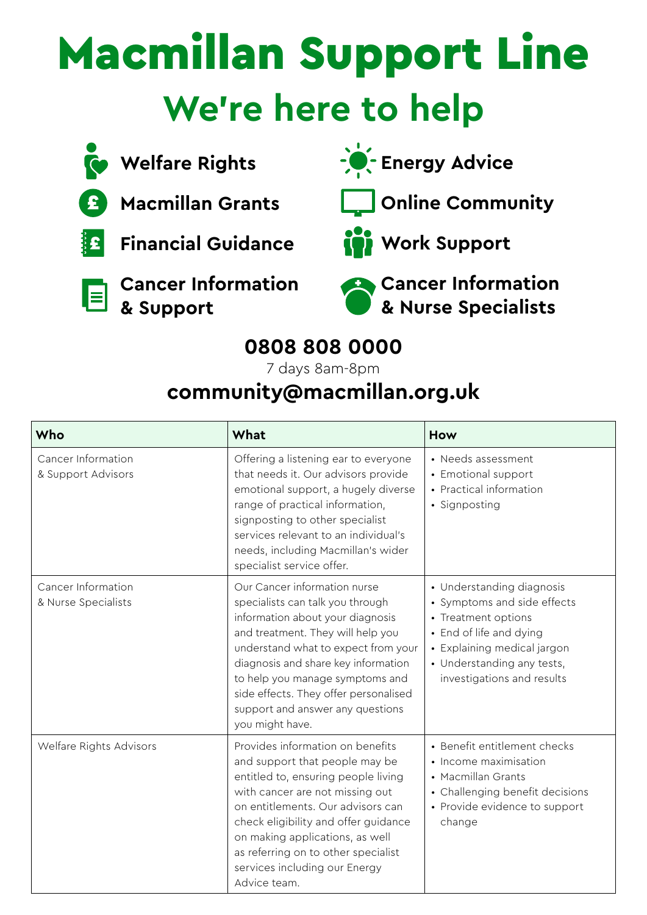## Macmillan Support Line **We're here to help**



**Welfare Rights**



**Macmillan Grants**

**Financial Guidance**



 **Cancer Information & Support**



**Energy Advice** 





**Work Support**

 **Cancer Information & Nurse Specialists**

## **0808 808 0000**

7 days 8am-8pm

## **[community@macmillan.org.uk](mailto:community%40macmillan.org.uk?subject=)**

| Who                                       | What                                                                                                                                                                                                                                                                                                                                                       | How                                                                                                                                                                                                   |
|-------------------------------------------|------------------------------------------------------------------------------------------------------------------------------------------------------------------------------------------------------------------------------------------------------------------------------------------------------------------------------------------------------------|-------------------------------------------------------------------------------------------------------------------------------------------------------------------------------------------------------|
| Cancer Information<br>& Support Advisors  | Offering a listening ear to everyone<br>that needs it. Our advisors provide<br>emotional support, a hugely diverse<br>range of practical information,<br>signposting to other specialist<br>services relevant to an individual's<br>needs, including Macmillan's wider<br>specialist service offer.                                                        | • Needs assessment<br>• Emotional support<br>• Practical information<br>· Signposting                                                                                                                 |
| Cancer Information<br>& Nurse Specialists | Our Cancer information nurse<br>specialists can talk you through<br>information about your diagnosis<br>and treatment. They will help you<br>understand what to expect from your<br>diagnosis and share key information<br>to help you manage symptoms and<br>side effects. They offer personalised<br>support and answer any questions<br>you might have. | • Understanding diagnosis<br>• Symptoms and side effects<br>• Treatment options<br>• End of life and dying<br>• Explaining medical jargon<br>· Understanding any tests,<br>investigations and results |
| Welfare Rights Advisors                   | Provides information on benefits<br>and support that people may be<br>entitled to, ensuring people living<br>with cancer are not missing out<br>on entitlements. Our advisors can<br>check eligibility and offer guidance<br>on making applications, as well<br>as referring on to other specialist<br>services including our Energy<br>Advice team.       | • Benefit entitlement checks<br>• Income maximisation<br>• Macmillan Grants<br>• Challenging benefit decisions<br>• Provide evidence to support<br>change                                             |